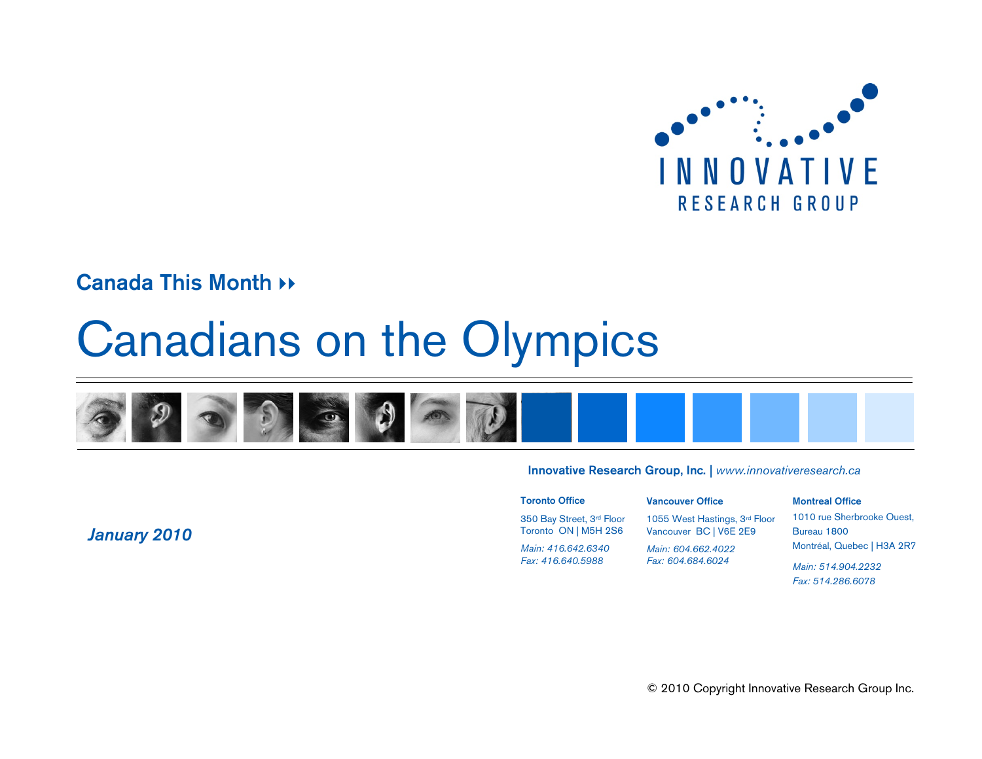

#### **Canada This Month \*\***

# Canadians on the Olympics



#### **Innovative Research Group, Inc.** *| www.innovativeresearch.ca*

**Vancouver Office**

**Toronto Office**

350 Bay Street, 3rd Floor Toronto ON | M5H 2S6 *Main: 416.642.6340Fax: 416.640.5988*

1055 West Hastings, 3rd Floor Vancouver BC | V6E 2E9

*Main: 604.662.4022Fax: 604.684.6024*

#### **Montreal Office**

1010 rue Sherbrooke Ouest, Bureau 1800 Montréal, Quebec | H3A 2R7

*Main: 514.904.2232Fax: 514.286.6078*

*January 2010*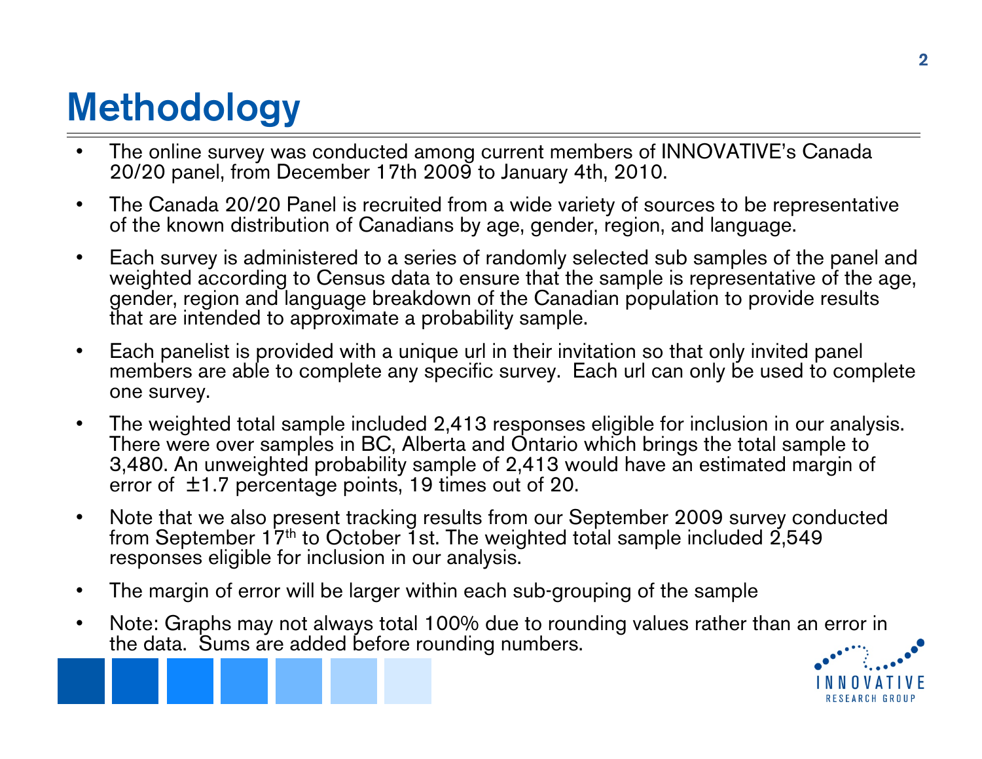## **Methodology**

- • The online survey was conducted among current members of INNOVATIVE's Canada 20/20 panel, from December 17th 2009 to January 4th, 2010.
- $\bullet$  The Canada 20/20 Panel is recruited from a wide variety of sources to be representative of the known distribution of Canadians by age, gender, region, and language.
- $\bullet$  Each survey is administered to a series of randomly selected sub samples of the panel and weighted according to Census data to ensure that the sample is representative of the age, gender, region and language breakdown of the Canadian population to provide results that are intended to approximate a probability sample.
- $\bullet$  Each panelist is provided with a unique url in their invitation so that only invited panel members are able to complete any specific survey. Each url can only be used to complete one survey.
- • The weighted total sample included 2,413 responses eligible for inclusion in our analysis. There were over samples in BC, Alberta and Ontario which brings the total sample to 3,480. An unweighted probability sample of 2,413 would have an estimated margin of error of  $\pm$ 1.7 percentage points, 19 times out of 20.
- $\bullet$  Note that we also present tracking results from our September 2009 survey conducted from September 17<sup>th</sup> to October 1st. The weighted total sample included  $2,549$ responses eligible for inclusion in our analysis.
- $\bullet$ The margin of error will be larger within each sub-grouping of the sample
- $\bullet$  Note: Graphs may not always total 100% due to rounding values rather than an error in the data. Sums are added before rounding numbers.

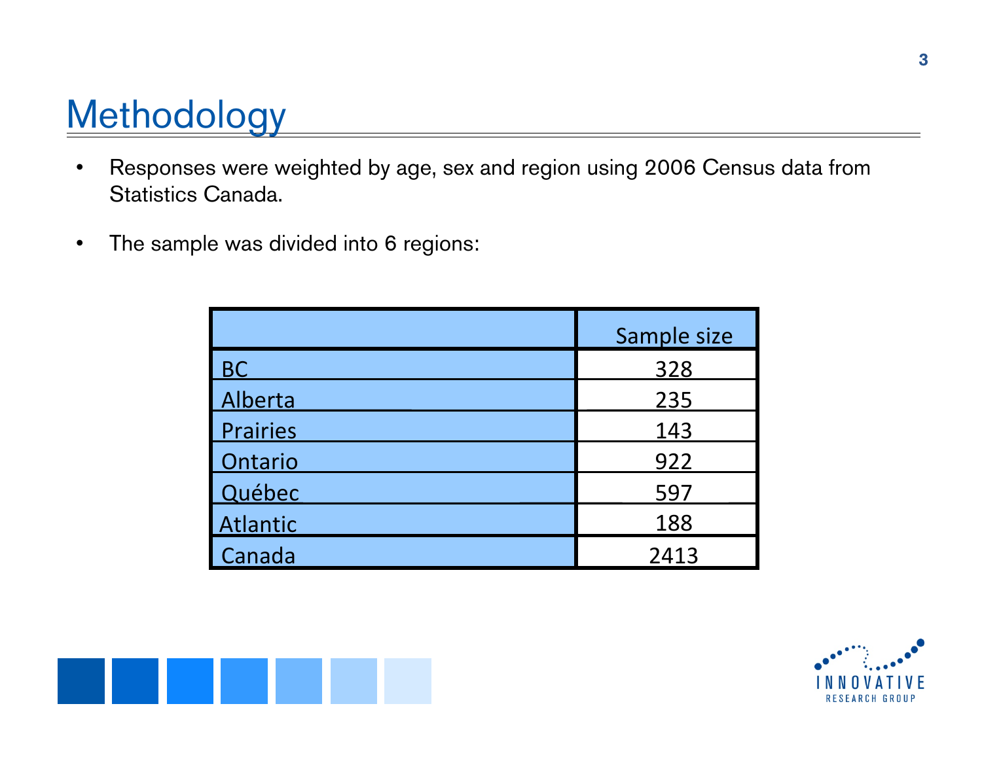## **Methodology**

- $\bullet$  Responses were weighted by age, sex and region using 2006 Census data from Statistics Canada.
- $\bullet$ The sample was divided into 6 regions:

|           | Sample size |
|-----------|-------------|
| <b>BC</b> | 328         |
| Alberta   | 235         |
| Prairies  | 143         |
| Ontario   | 922         |
| Québec    | 597         |
| Atlantic  | 188         |
| Canada    | 2413        |



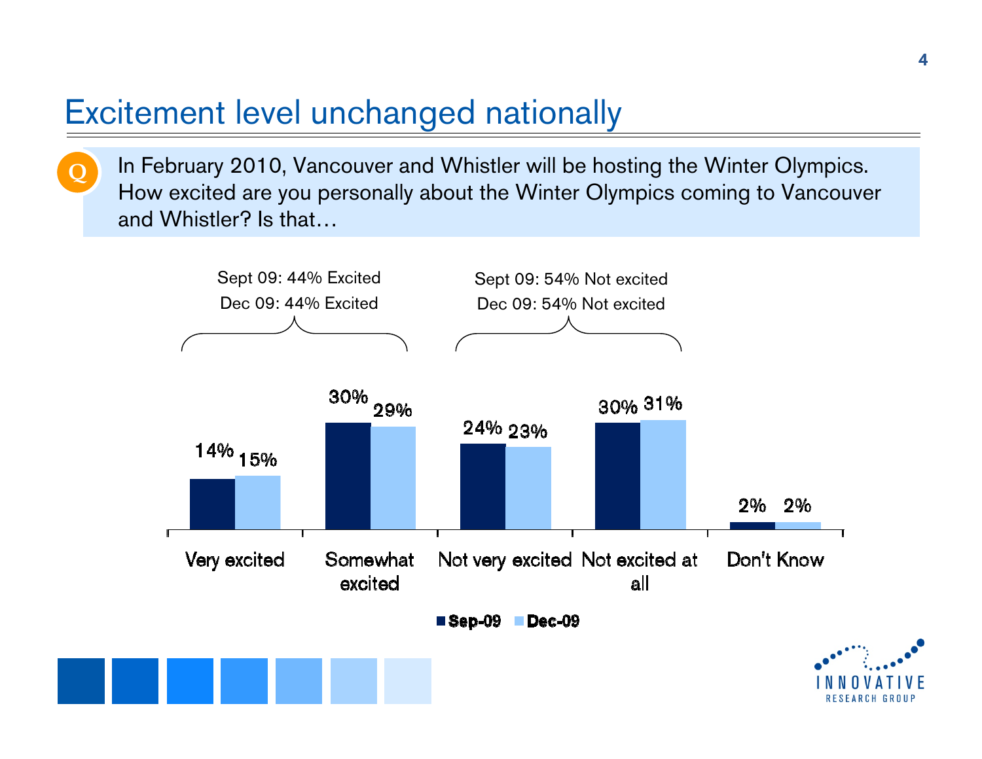### Excitement level unchanged nationally

**Q**

In February 2010, Vancouver and Whistler will be hosting the Winter Olympics. How excited are you personally about the Winter Olympics coming to Vancouver and Whistler? Is that…

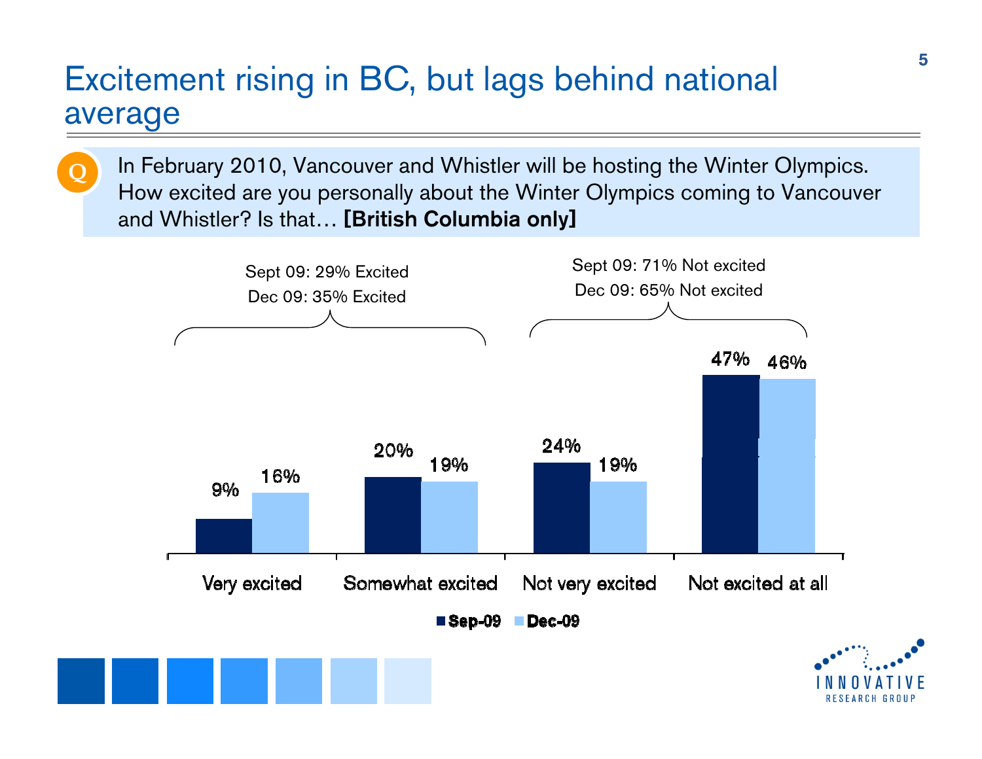#### Excitement rising in BC, but lags behind national average

**Q**

In February 2010, Vancouver and Whistler will be hosting the Winter Olympics. How excited are you personally about the Winter Olympics coming to Vancouver and Whistler? Is that… **[British Columbia only]**

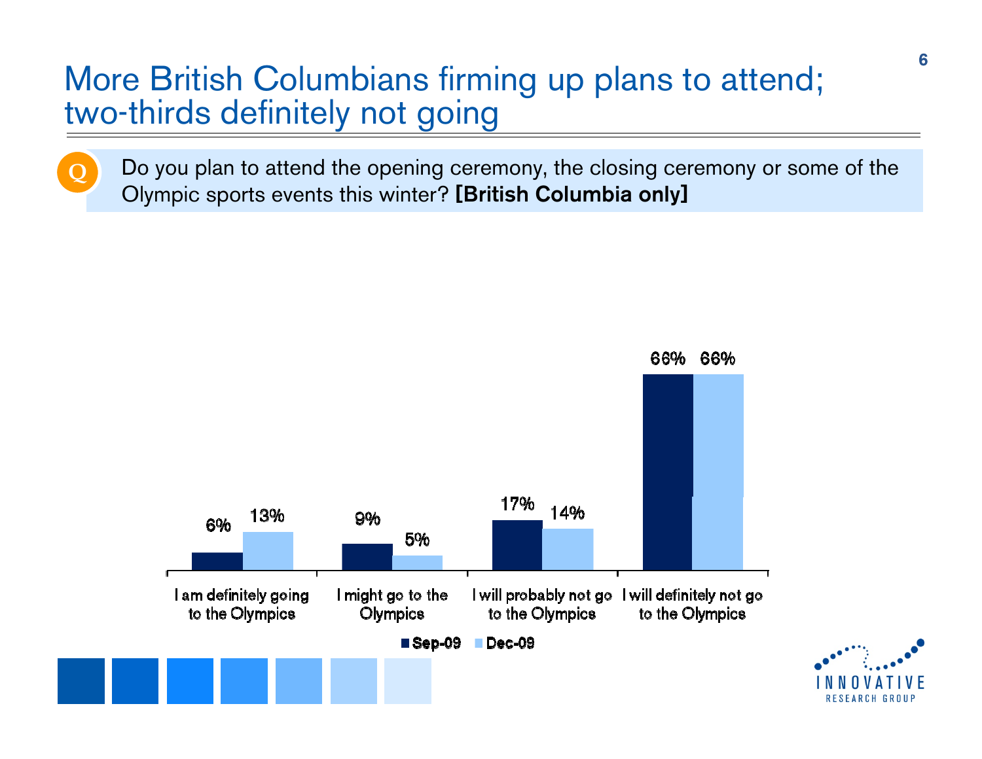### More British Columbians firming up plans to attend; two-thirds definitely not going

**Q**

Do you plan to attend the opening ceremony, the closing ceremony or some of the Olympic sports events this winter? **[British Columbia only]**

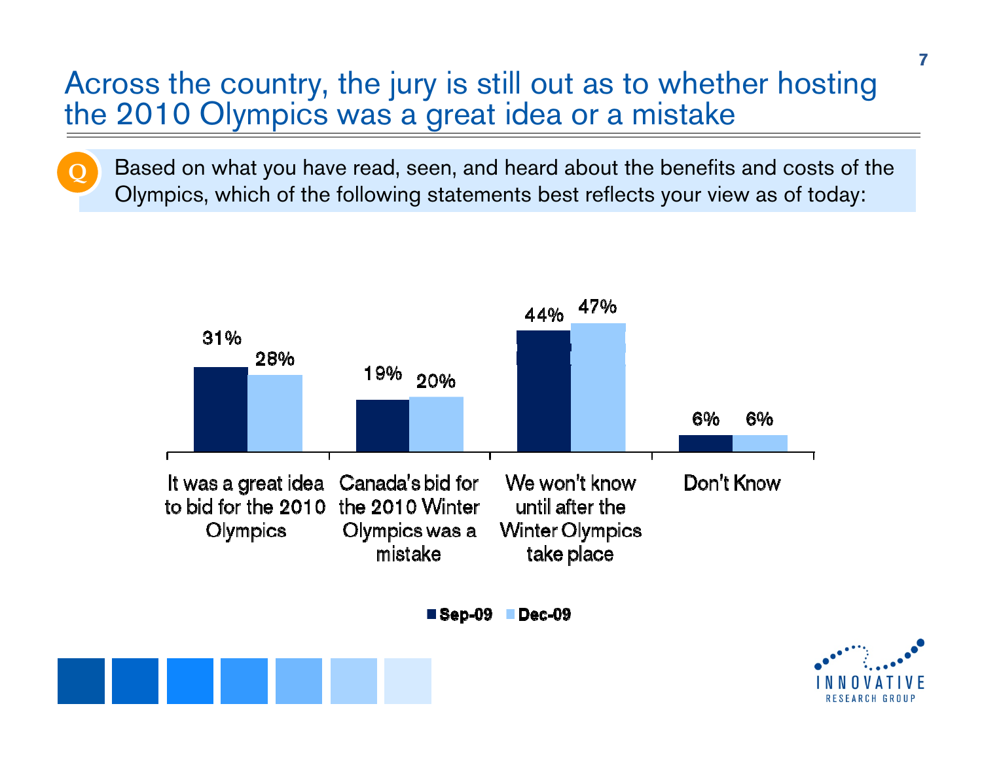#### Across the country, the jury is still out as to whether hosting the 2010 Olympics was a great idea or a mistake

**Q**

Based on what you have read, seen, and heard about the benefits and costs of the Olympics, which of the following statements best reflects your view as of today:

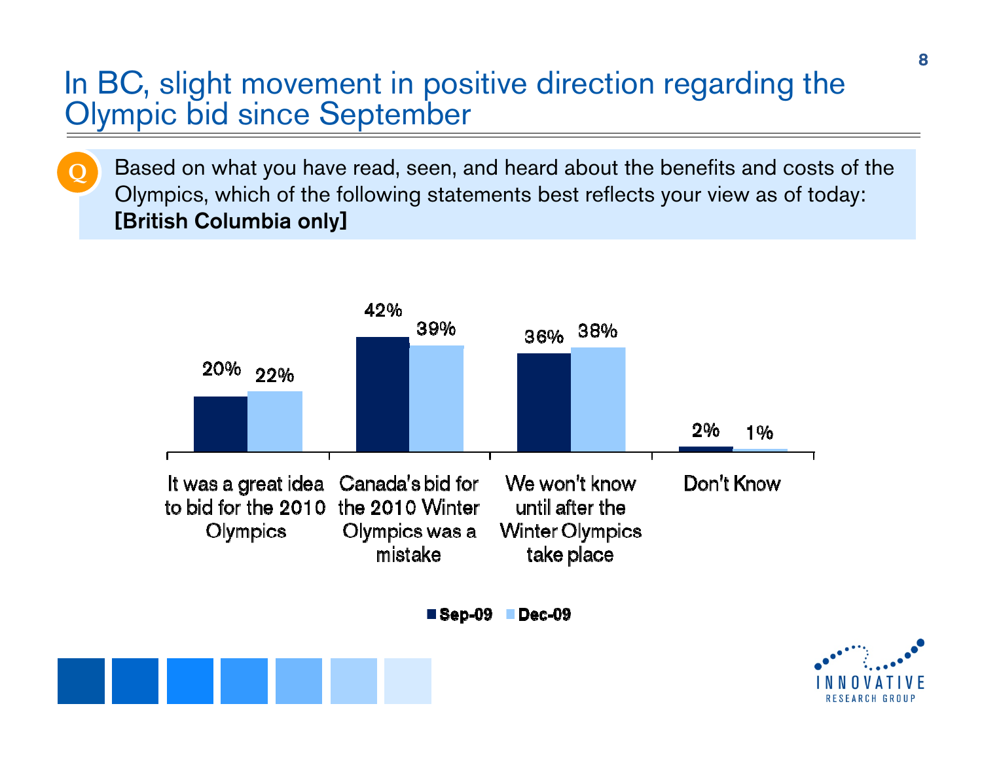#### In BC, slight movement in positive direction regarding the Olympic bid since September

**Q**

Based on what you have read, seen, and heard about the benefits and costs of the Olympics, which of the following statements best reflects your view as of today: **[British Columbia only]**

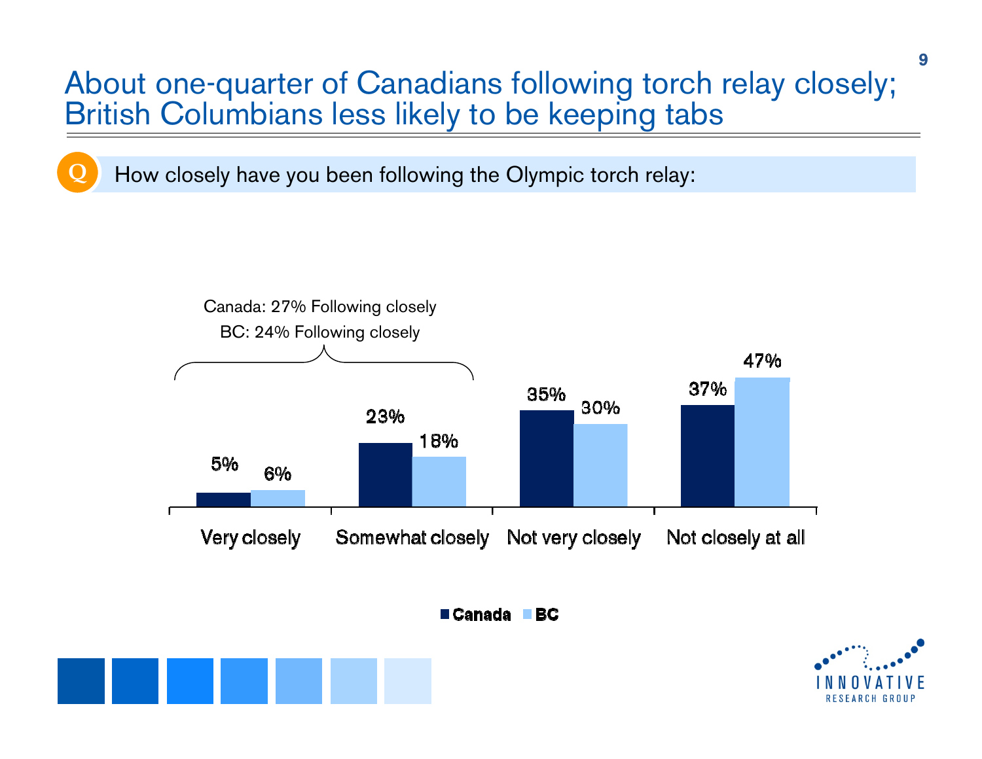#### About one-quarter of Canadians following torch relay closely; British Columbians less likely to be keeping tabs

How closely have you been following the Olympic torch relay:

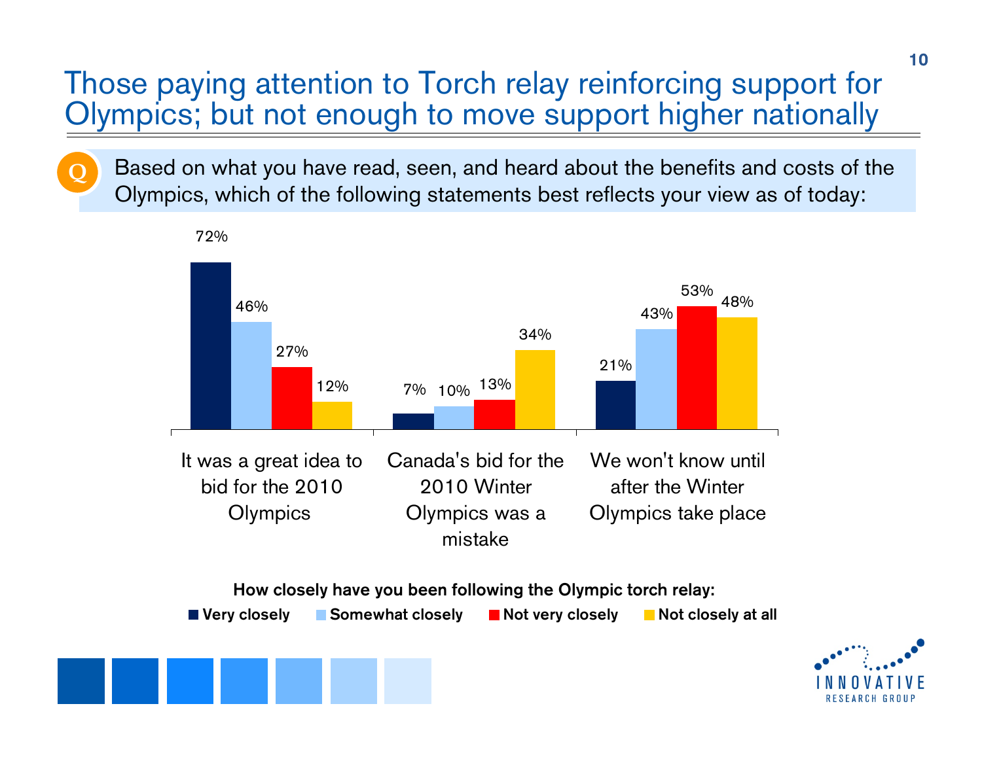#### Those paying attention to Torch relay reinforcing support for Olympics; but not enough to move support higher nationally

**Q**

Based on what you have read, seen, and heard about the benefits and costs of the Olympics, which of the following statements best reflects your view as of today: